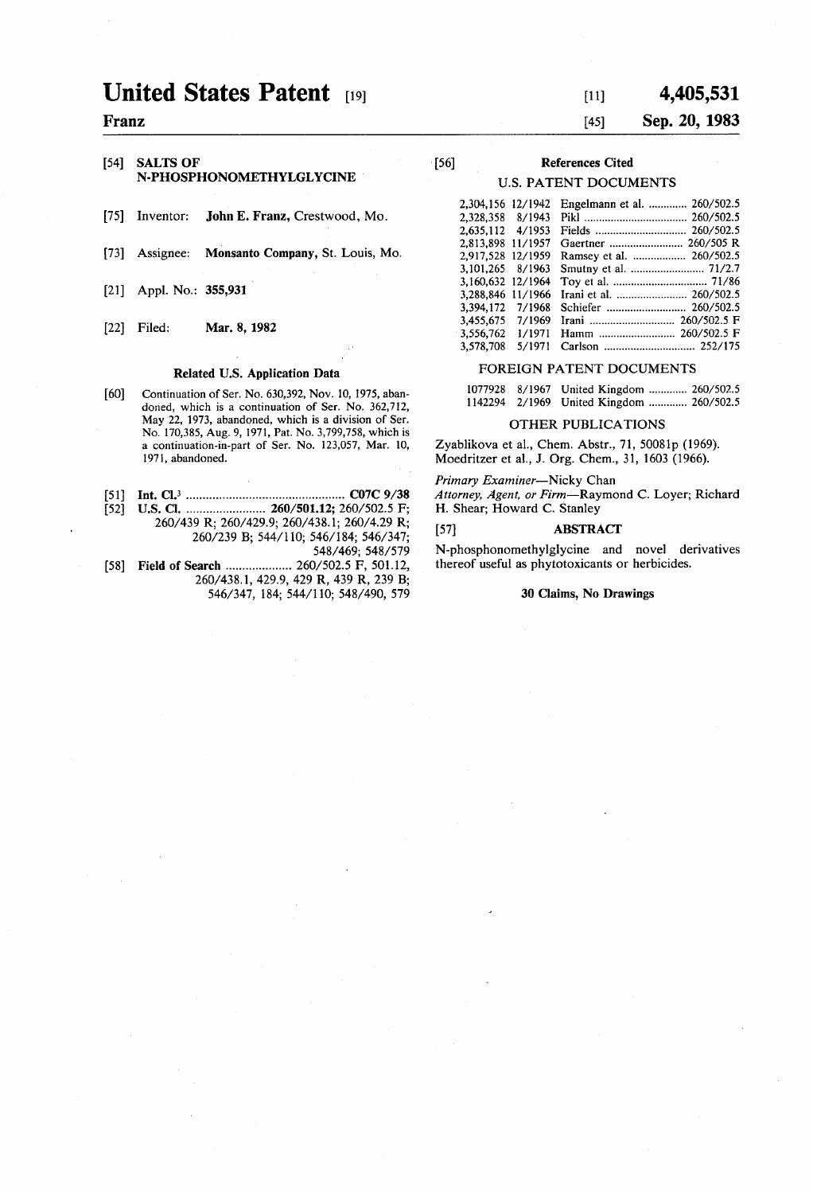## **United States Patent [191]**

## Franz

#### $[54]$ **SALTS OF** N-PHOSPHONOMETHYLGLYCINE

- [75] Inventor: John E. Franz, Crestwood, Mo.
- [73] Assignee: Monsanto Company, St. Louis, Mo.
- $[21]$  Appl. No.: 355,931
- [22] Filed: Mar. 8, 1982

#### Related U.S. Application Data

- $[60]$ Continuation of Ser. No. 630,392, Nov. 10, 1975, abandoned, which is a continuation of Ser. No. 362,712, May 22, 1973, abandoned, which is a division of Ser. No. 170,385, Aug. 9, 1971, Pat. No. 3,799,758, which is a continuation-in-part of Ser. No. 123,057, Mar. 10, 1971, abandoned.
- $[51]$
- $[52]$ 260/439 R; 260/429.9; 260/438.1; 260/4.29 R; 260/239 B; 544/110; 546/184; 546/347;
	- 548/469; 548/579
- [58] Field of Search ...................... 260/502.5 F, 501.12, 260/438.1, 429.9, 429 R, 439 R, 239 B; 546/347, 184; 544/110; 548/490, 579

#### 4,405,531  $[11]$

#### Sep. 20, 1983  $[45]$

#### **References Cited**

 $[56]$ 

### **U.S. PATENT DOCUMENTS**

| 2.304.156 12/1942 |        | Engelmann et al.  260/502.5 |
|-------------------|--------|-----------------------------|
| 2.328.358 8/1943  |        |                             |
| 2.635.112 4/1953  |        |                             |
| 2.813.898 11/1957 |        | Gaertner  260/505 R         |
| 2.917.528 12/1959 |        | Ramsey et al.  260/502.5    |
| 3.101.265 8/1963  |        |                             |
| 3.160.632 12/1964 |        |                             |
| 3.288.846 11/1966 |        | Irani et al.  260/502.5     |
| 3.394.172 7/1968  |        |                             |
| 3.455.675 7/1969  |        |                             |
| 3,556,762 1/1971  |        |                             |
| 3 578 708         | 5/1971 | $Carson$ 252/175            |

#### FOREIGN PATENT DOCUMENTS

1077928 8/1967 United Kingdom ............ 260/502.5 1142294 2/1969 United Kingdom ............. 260/502.5

#### **OTHER PUBLICATIONS**

Zyablikova et al., Chem. Abstr., 71, 50081p (1969). Moedritzer et al., J. Org. Chem., 31, 1603 (1966).

Primary Examiner-Nicky Chan

Attorney, Agent, or Firm-Raymond C. Loyer; Richard H. Shear; Howard C. Stanley

#### $[57]$ **ABSTRACT**

N-phosphonomethylglycine and novel derivatives thereof useful as phytotoxicants or herbicides.

#### 30 Claims, No Drawings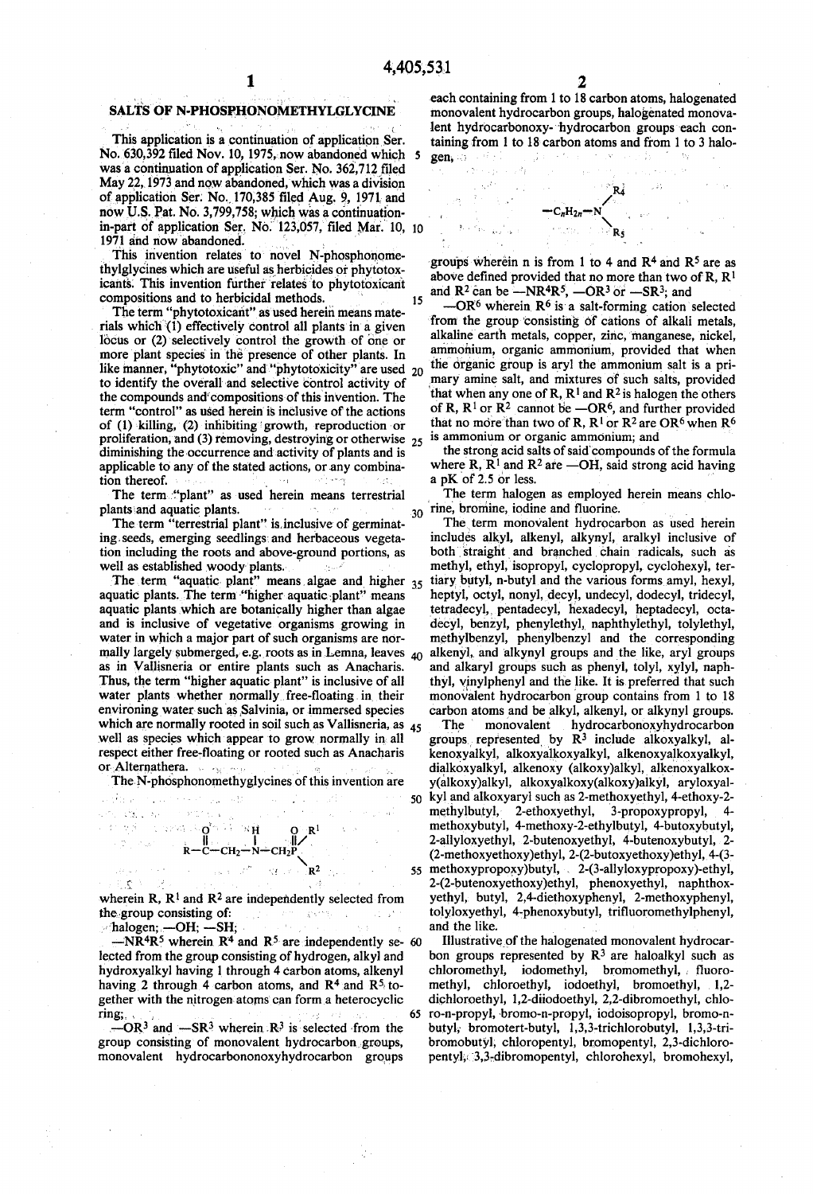50

55

### SALTS OF N-PHOSPHONOMETHYLGLYCINE

This application is a continuation of application Ser. No. 630,392 filed Nov. 10, 1975, now abandoned which 5 was a continuation of application Ser. No. 362,712 filed May 22, 1973 and now abandoned, which was a division of application Ser. No. 170,385 filed Aug. 9, 1971 and now U.S. Pat. No. 3,799,758; which was a continuationin-part of application Ser. No. 123,057, filed Mar. 10, 10 1971 and now abandoned.

This invention relates to novel N-phosphonomethylglycines which are useful as herbicides or phytotoxicants. This invention further relates to phytotoxicant compositions and to herbicidal methods.

The term "phytotoxicant" as used herein means materials which (1) effectively control all plants in a given locus or (2) selectively control the growth of one or more plant species in the presence of other plants. In like manner, "phytotoxic" and "phytotoxicity" are used 20 to identify the overall and selective control activity of the compounds and compositions of this invention. The term "control" as used herein is inclusive of the actions of (1) killing, (2) inhibiting growth, reproduction or proliferation, and (3) removing, destroying or otherwise  $25$ diminishing the occurrence and activity of plants and is applicable to any of the stated actions, or any combina-) ameg tion thereof. s ago

The term "plant" as used herein means terrestrial plants and aquatic plants.

The term "terrestrial plant" is inclusive of germinating seeds, emerging seedlings and herbaceous vegetation including the roots and above-ground portions, as well as established woody plants.

The term "aquatic plant" means algae and higher 35 aquatic plants. The term "higher aquatic plant" means aquatic plants which are botanically higher than algae and is inclusive of vegetative organisms growing in water in which a major part of such organisms are normally largely submerged, e.g. roots as in Lemna, leaves  $_{40}$ as in Vallisneria or entire plants such as Anacharis. Thus, the term "higher aquatic plant" is inclusive of all water plants whether normally free-floating in their environing water such as Salvinia, or immersed species which are normally rooted in soil such as Vallisneria, as 45 well as species which appear to grow normally in all respect either free-floating or rooted such as Anacharis or Alternathera.

The N-phosphonomethyglycines of this invention are

s a stallado

cathering a term of particular

ing)<br>Sido ang

$$
\begin{array}{cccccccccccccc} \mathbb{C}^{\mathbb{C}} & \mathbb{C}^{\mathbb{C}} & \mathbb{C}^{\mathbb{C}} & \mathbb{C}^{\mathbb{C}} & \mathbb{C}^{\mathbb{C}} & \mathbb{C}^{\mathbb{C}} & \mathbb{C}^{\mathbb{C}} & \mathbb{C}^{\mathbb{C}} & \mathbb{C}^{\mathbb{C}} & \mathbb{C}^{\mathbb{C}} & \mathbb{C}^{\mathbb{C}} & \mathbb{C}^{\mathbb{C}} & \mathbb{C}^{\mathbb{C}} & \mathbb{C}^{\mathbb{C}} & \mathbb{C}^{\mathbb{C}} & \mathbb{C}^{\mathbb{C}} & \mathbb{C}^{\mathbb{C}} & \mathbb{C}^{\mathbb{C}} & \mathbb{C}^{\mathbb{C}} & \mathbb{C}^{\mathbb{C}} & \mathbb{C}^{\mathbb{C}} & \mathbb{C}^{\mathbb{C}} & \mathbb{C}^{\mathbb{C}} & \mathbb{C}^{\mathbb{C}} & \mathbb{C}^{\mathbb{C}} & \mathbb{C}^{\mathbb{C}} & \mathbb{C}^{\mathbb{C}} & \mathbb{C}^{\mathbb{C}} & \mathbb{C}^{\mathbb{C}} & \mathbb{C}^{\mathbb{C}} & \mathbb{C}^{\mathbb{C}} & \mathbb{C}^{\mathbb{C}} & \mathbb{C}^{\mathbb{C}} & \mathbb{C}^{\mathbb{C}} & \mathbb{C}^{\mathbb{C}} & \mathbb{C}^{\mathbb{C}} & \mathbb{C}^{\mathbb{C}} & \mathbb{C}^{\mathbb{C}} & \mathbb{C} & \mathbb{C} & \mathbb{C} & \mathbb{C} & \mathbb{C} & \mathbb{C} & \mathbb{C} & \mathbb{C} & \mathbb{C} & \mathbb{C} & \mathbb{C} & \mathbb{C} & \mathbb{C} & \mathbb{C} & \mathbb{C} & \mathbb{C} & \mathbb{C} & \mathbb{C} & \mathbb{C} & \mathbb{C} & \mathbb{C} & \mathbb{C} & \mathbb{C} & \mathbb{C} & \mathbb{C} & \mathbb{C} & \mathbb{C} & \mathbb{C} & \mathbb{C} & \mathbb{C} & \mathbb{C} & \
$$

 $\mathcal{L}(\mathbf{2},\mathbb{R})$ wherein R,  $R^1$  and  $R^2$  are independently selected from the group consisting of: 1200000 **ANTELLA** a Praz  $\mathcal{P}$ halogen;  $\rightarrow$ OH;  $\rightarrow$ SH;

 $-NR^{4}R^{5}$  wherein R<sup>4</sup> and R<sup>5</sup> are independently se- 60 lected from the group consisting of hydrogen, alkyl and hydroxyalkyl having 1 through 4 carbon atoms, alkenyl having 2 through 4 carbon atoms, and R<sup>4</sup> and R<sup>5</sup> together with the nitrogen atoms can form a heterocyclic ring; 65

 $-OR<sup>3</sup>$  and  $-SR<sup>3</sup>$  wherein  $R<sup>3</sup>$  is selected from the group consisting of monovalent hydrocarbon groups, monovalent hydrocarbononoxyhydrocarbon groups each containing from 1 to 18 carbon atoms, halogenated monovalent hydrocarbon groups, halogenated monovalent hydrocarbonoxy- hydrocarbon groups each containing from 1 to 18 carbon atoms and from 1 to 3 halogen, and the state -13



groups wherein n is from 1 to 4 and  $R<sup>4</sup>$  and  $R<sup>5</sup>$  are as above defined provided that no more than two of R, R<sup>1</sup> and  $R^2$  can be  $-NR^4R^5$ ,  $-OR^3$  or  $-SR^3$ ; and

 $-OR<sup>6</sup>$  wherein R<sup>6</sup> is a salt-forming cation selected from the group consisting of cations of alkali metals, alkaline earth metals, copper, zinc, manganese, nickel, ammonium, organic ammonium, provided that when the organic group is aryl the ammonium salt is a primary amine salt, and mixtures of such salts, provided that when any one of R,  $\mathbb{R}^1$  and  $\mathbb{R}^2$  is halogen the others of R,  $R^1$  or  $R^2$  cannot be  $-OR^6$ , and further provided that no more than two of R.  $R^1$  or  $R^2$  are OR<sup>6</sup> when R<sup>6</sup> is ammonium or organic ammonium; and

the strong acid salts of said compounds of the formula where R,  $R^1$  and  $R^2$  are  $\rightarrow$ OH, said strong acid having a pK of 2.5 or less.

The term halogen as employed herein means chlo-30 rine, bromine, iodine and fluorine.

The term monovalent hydrocarbon as used herein includes alkyl, alkenyl, alkynyl, aralkyl inclusive of both straight and branched chain radicals, such as methyl, ethyl, isopropyl, cyclopropyl, cyclohexyl, tertiary butyl, n-butyl and the various forms amyl, hexyl, heptyl, octyl, nonyl, decyl, undecyl, dodecyl, tridecyl, tetradecyl, pentadecyl, hexadecyl, heptadecyl, octadecyl, benzyl, phenylethyl, naphthylethyl, tolylethyl, methylbenzyl, phenylbenzyl and the corresponding alkenyl, and alkynyl groups and the like, aryl groups and alkaryl groups such as phenyl, tolyl, xylyl, naphthyl, vinylphenyl and the like. It is preferred that such monovalent hydrocarbon group contains from 1 to 18 carbon atoms and be alkyl, alkenyl, or alkynyl groups.

The monovalent hydrocarbonoxyhydrocarbon<br>groups represented by  $R^3$  include alkoxyalkyl, alkenoxyalkyl, alkoxyalkoxyalkyl, alkenoxyalkoxyalkyl, dialkoxyalkyl, alkenoxy (alkoxy)alkyl, alkenoxyalkoxy(alkoxy)alkyl, alkoxyalkoxy(alkoxy)alkyl, aryloxyalkyl and alkoxyaryl such as 2-methoxyethyl, 4-ethoxy-2methylbutyl, 2-ethoxyethyl, 3-propoxypropyl, 4methoxybutyl, 4-methoxy-2-ethylbutyl, 4-butoxybutyl, 2-allyloxyethyl, 2-butenoxyethyl, 4-butenoxybutyl, 2-(2-methoxyethoxy)ethyl, 2-(2-butoxyethoxy)ethyl, 4-(3methoxypropoxy)butyl, 2-(3-allyloxypropoxy)-ethyl, 2-(2-butenoxyethoxy)ethyl, phenoxyethyl, naphthoxyethyl, butyl, 2,4-diethoxyphenyl, 2-methoxyphenyl, tolyloxyethyl, 4-phenoxybutyl, trifluoromethylphenyl, and the like.

Illustrative of the halogenated monovalent hydrocarbon groups represented by  $\mathbb{R}^3$  are haloalkyl such as chloromethyl, iodomethyl, bromomethyl, fluoromethyl, chloroethyl, iodoethyl, bromoethyl, 1,2dichloroethyl, 1,2-diiodoethyl, 2,2-dibromoethyl, chloro-n-propyl, bromo-n-propyl, iodoisopropyl, bromo-nbutyl, bromotert-butyl, 1,3,3-trichlorobutyl, 1,3,3-tribromobutyl, chloropentyl, bromopentyl, 2,3-dichloropentyl; 3,3-dibromopentyl, chlorohexyl, bromohexyl,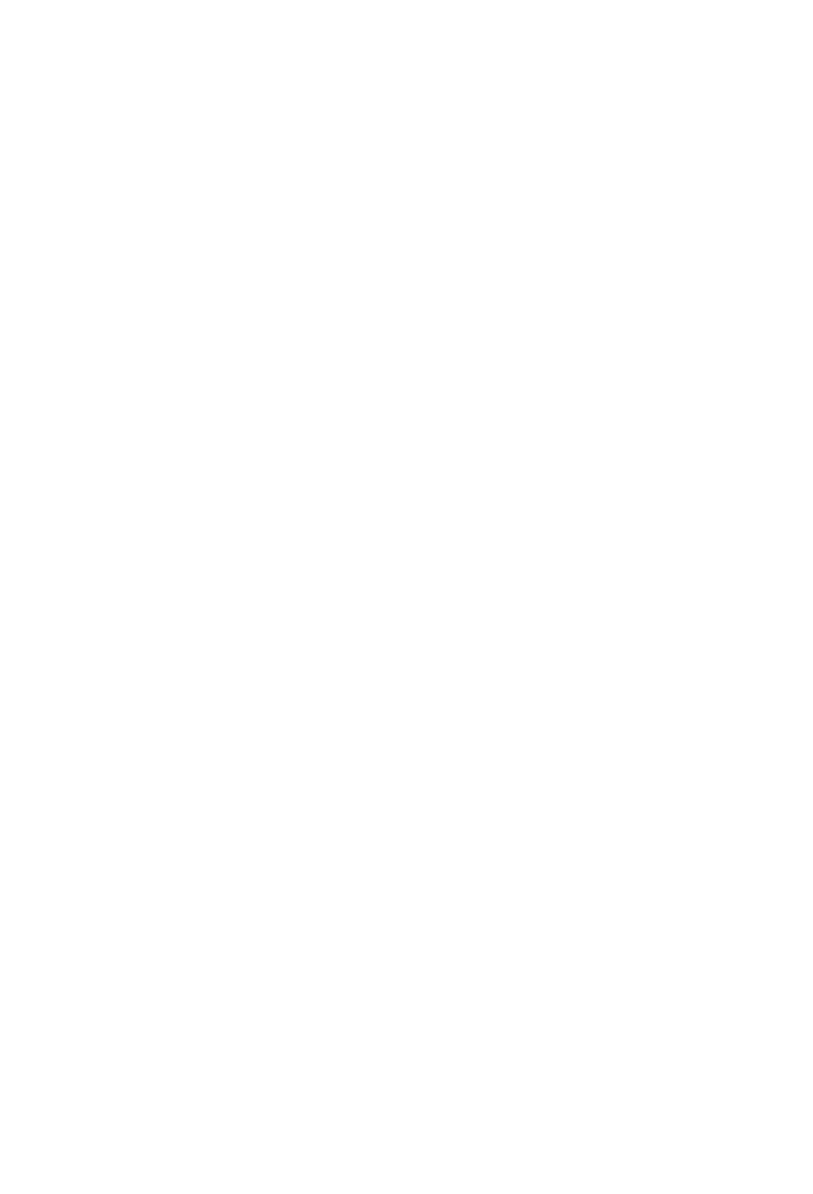2,4-dichlorohexyl, 1,3-dibromohexyl,  $1,3,4-tri$ chlorohexyl, chloroheptyl, bromoheptyl, fluoroheptyl, 1,4,4-trichloroheptyl, 1,3-dichloroheptyl,  $2.4$ dichloromethyl-heptyl, chlorooctyl, bromooctyl, iodooctyl, 2,4-dichloromethylhexyl, 2,4-dichlorooctyl, 5 2,4,4-trichloromethylpentyl, 1,3,5-tribtomooctyl and the halogenated straight and branched chain nonyl, decyl, undecyl, dodecyl, tridecyl, tetradecyl, pentadecyl, hexadecyl, heptadecyl and octadecyl; haloalkenyl such as chlorovinyl, bromovinyl, chloroallyl, bro- 10 moallyl, 3-chloro-n-butenyl-1, 3-chloro-n-pentenyl-1, 4-chloro-n-hexenyl-2, 3,4-dichloromethylpentenyl-1, 3-fluoro-n-heptenyl-1, 1,3,3-trichloro-n-heptenyl-5, 1.3.5-trichloro-n-octenyl-6, 2,3,3-trichloromethylpentenyl-4 and the various homologues and isomers of ha-15 loalkenyl having 2 to 12 carbon atoms; haloaryl such as o-chlorophenyl, m-chlorophenyl, m-bromophenyl, pchlorophenyl, 2,4-dichlorophenyl, 3,5-dichlorophenyl, 2,5-diiodophenyl, and the like. The halogenated monovalent hydrocarbonoxyhydrocarbon groups repre-20 sented by  $R<sup>3</sup>$  are the alkoxy and aryloxy substituted derivatives of the foregoing halogenated monovalent hydrocarbon groups where the alkyl and aryl groups are those previously set forth.

The term "alkali metal" encompasses lithium, so- 25 dium, potassium, cesium and rubidium; and the term "alkaline earth metal" includes beryllium, magnesium, calcium, strontium and barium.

The organic ammonium salts of the above formula are those prepared from low molecular weight organic 30 amines, i.e. having a molecular weight below about 300. and such organic amines includes the alkyl amines, alkylene amines and alkanol amines containing not more than 2 amine groups, such as methylamine, ethylamine. n-propylamine, isopropylamine, n-butylamine, 35 isobutylamine, sec-butylamine, n-amylamine, iso-amylamine, hexylamine, heptylamine, octylamine, nonylamine. decylamine, undecylamine, dodecylamine, tridecylamine, tetradecylamine, pentadecylamine, hexadecylamine, heptadecylamine, octadecylamine, me- 40 thylethylamine, methylisopropylamine, methylhexylamine, methylnonylamine, methylpentadecylamine, methyloctadecylamine, ethylbutylamine, ethylheptylamine, ethyloctylamine, hexylheptylamine, hexyloctylamine, dimethylamine, diethylamine, di-n-propylamine, 45 diisopropylamine, di-n-amylamine, diisoamylamine, dihexylamine, di-heptylamine, dioctylamine, trimethylamine, triethylamine, tri-n-propylamine, triisopropylamine, tri-n-butylamine, triisobutylamine, tri-sec-butylamine, tri-n-amylamine, ethanolamine, n-propanolamine, 50 isopropanolamine, diethanolamine, N.N-diethylethanolamine, N-ethylpropanolamine, N-butylethanolamine, allylamine, n-butenyl-2-amine, n-pentenyl-2-2.3-dimethylbutenyl-2-amine, amine, di-butenyl-2amine, n-hexenyl-2-amine and propylenediamine, pri- 55 mary aryl amines such as aniline, methoxyaniline, ethoxyaniline, o,m,p-toluidine, phenylenediamine, 2,4,6-tribromoaniline, benzidine, naphthylamine, o,m,pchloroaniline, and the like; hetrocyclic amines such as pyridine, morpholine, piperidine, pyrrolidine, indoline, 60 hemi-salt, i.e. one molecule of acid combines with 2 azepine and the like.

Among the preferred compounds of this invention are those of the above formula wherein at least one of R,  $R^1$  and  $R^2$  is OR<sup>3</sup> or OR<sup>6</sup> and the remaining members of R,  $R<sup>1</sup>$  and R<sup>2</sup> are OH, SH or OR<sup>6</sup>. The more pre- 65 ferred compounds of this invention are those of the above formula wherein at least one of R, R<sup>1</sup> and R<sup>2</sup> is OR<sup>6</sup> and the remainder of R,  $R<sup>1</sup>$  and  $R<sup>2</sup>$  are OH, and

wherein  $R<sup>6</sup>$  is a salt-forming cation. The particularly preferred compounds of this invention are those of the formula wherein one of R,  $R<sup>1</sup>$  and  $R<sup>2</sup>$  is OR<sup>6</sup>, the remaining ones are OH, and  $R<sup>6</sup>$  is ammonium or organic ammonium wherein the organic ammonium group is selected from the group consisting of monoalkylammonium, dialkylammonium, trialkylammonium, monoalkenylammonium, dialkenylammonium, trialkenylammonium, monoalkynylammonium, dialkynylammonium, trialkynylammonium, monoalkanolammonium, dialkanolammonium, trialkanolammonium, heterocyclic ammonium or an aryl ammonium, such organic ammonium group containing from 1 to 18 carbon atoms.

One compound encompassed by the above formula, namely, N-phosphonomethylglycine, is known. This is the compound identified by the formula when each of R,  $R^1$  and  $R^2$  is —OH. The remainder of the compounds in accordance with the generic formula are new. All of the compounds of the present invention, however, are new and novel herbicides or phytotoxicants.

N-phosphonomethylglycine in itself is a very effective phytotoxicant or herbicide. Because it is relatively insoluble in water and conventional organic solvents, however, it is not as readily amendable to commercial formulation as are many of its derivatives. It is therefore generally preferred to utilize the more readily soluble compounds of this invention in which at least one of the hydrogens in the hydroxy or thiol groups of N-phosphonomethylglycine has been replaced with an alkali metal or a alkaline earth metal or has been combined with ammonia or an organic amine. The amino alkyl esters of N-phosphonomethylglycine are also efficacious phytotoxicants. Surprisingly, these and other compounds encompassed by the above general formula are water-soluble but yet exhibit the same high magnitude of activity as the glycine.

In addition, N-phosphonomethylglycine can be readily dehydrated to form linear and cyclic anhydrides which are also excellent phytotoxicants or herbicides.

The N-phosphonomethylglycines can be prepared by the phosphonomethylation of a glycine, preferably with chloromethyl-phosphonic acids. They can also be prepared by the phosphite addition to azomethines. For example, the reaction of ethyl glycinate with formaldehyde and diethylphosphite results in the formation of the triethyl ester of N-phosphomomethylglycine. Also, the compounds under consideration can be readily obtained by the oxidation of the corresponding aminophosphinic compounds utilizing mercuric chloride and other oxidizing agents. The N-phosphonomethylglycines are granular or crystalline solid materials generally soluble in water.

The strong acids which form salts with the N-phosphonomethylglycine are those having a pK of 2.5 or less, for example, hydrochloric acid, sulfuric acid, phosphoric acid, trifluoroacetic, trichloroacetic and the like. In some instances, these acid salts as isolates are the molecules of the N-phosphonomethylglycine and may contain water of hydration.

The acid halides of N-phosphomomethylglycine are prepared by known methods, fo example chloro derivatives can be prepared by the reaction of N-phosphonomethylglycine with PCl<sub>5</sub> or SOCl<sub>2</sub> in an anhydrous solvent medium, such as an ether etc., or other organic solvent.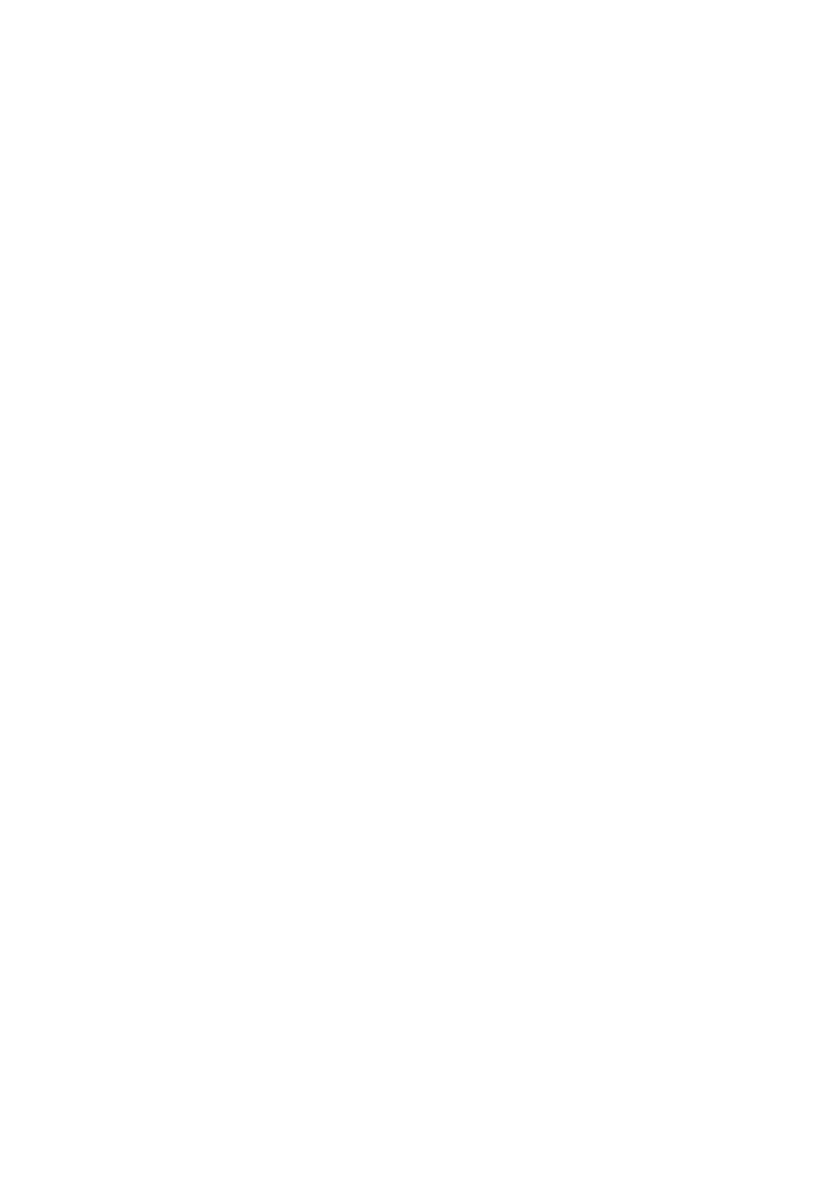The amides, esters or thioesters of N-phosphonomethylglycine can be prepared by reacting the acid halide in a solvent with the appropriate amine, thiol, or alcohol in the presence of a hydrogen halide acceptor such as triethylamine, pyridine and the like; or by an ester inter- 5 change reaction with the methyl ester of N-phosphonomethylglycine.

The salts of N-phosphonomethylglycine are prepared by partial or complete neutralization of the acid with the appropriate base, basic carbonate, ammonia or or- 10 ganic amine.

In accordance with this invention it has been found that the growth of germinating seeds, emerging seedlings, maturing and established woody and herbaceous vegetation and aquatic plants can be controlled by ex- 15 posing the emerging seedlings or above-ground portions of maturing and established vegetation, or the aquatic plants of the action of an effective amount of the glycines of the present invention. The compounds can be used individually, as admixtures of two or more 20 compounds, or in admixture with an adjuvant. These compounds are effective as post-emergent phytotoxicants or herbicides, e.g., the selective control of the growth of one or more monocotyledonous species and-/or one or more dicotyledonous species in the presence 25 of other monocotyledons and/or dicotyledons. Furthermore, these compounds are characterized by broad spectrum activity, i.e., they control the growth of a wide variety of plants including but not limited to ferns, conifer (pine fir and the like), aquatic, monocotyledons 30 and dicotyledons.

In the following examples, which illustrate the invention, and throughout the specification, parts and percent are by weight unless otherwise indicated.

#### **EXAMPLE 1**

A mixture of about 50 parts of glycine, 92 parts of chloromethylphosphonic acid, 150 parts of 50% aqueous sodium hydroxide and 100 parts water was introduced into a suitable reaction vessel and maintained at a 40 reflux temperature while an additional 50 parts of 50% aqueous sodium hydroxide was added. The pH of the reaction mixture was maintained between 10 and 12 by the rate of addition of the sodium hydroxide. After all of the caustic solution had been added, the reaction mix- 45 ture was refluxed for an additional 20 hours, cooled to room temperature and filtered. About 160 ml. of concentrated hydrochloric acid were then added and the mixture filtered to provide a clear solution which slowly deposited N-phosphonomethylglycine. This 50 salts, the morpholine salts, the piperidine salts, ethanol material had a melting point of 230° C. with decomposition

Calc'd. for C<sub>3</sub>H<sub>8</sub>NO<sub>5</sub>P: C, 21.31; H, 4.77; N, 8.28. Found: C, 21.02; H, 5.02; N, 8.05.

#### **EXAMPLE 2**

55

N-phosphonomethylglycine was also prepared by the oxidation of N-phosphinomethylglycine in accordance with the following method:

A mixture of about 1.7 parts of phosphinomethylgly- 60 cine, 6.25 parts of mercuric chloride and 50 parts of water were charged into a suitable reaction vessel and maintained at reflux temperature for about two hours. The mercurous chloride resulting from the reaction precipitated out and was removed by filtration. The 65 filtrate was saturated with hydrogen sulfide and the resultant mercuric sulfide removed therefrom by filtration to provide a clear filtrate which was concentrated

at reduced pressure and the residue diluted with 10 parts of water. The crystalline precipitate was collected and washed with methanol and then with diethyl ether. The product thus obtained was identical to the product of the preceding example.

#### **EXAMPLE 3**

A mixture of about 17 parts of N-phosphonomethylglycine, 100 parts of water and 7 parts of potassium carbonate was agitated in a suitable reaction vessel at room temperature. After dissolution was complete as indicated by clarification of the reaction mixture, the reaction mixture was concentrated on a steam bath at reduced pressure. The residue was washed with hot methanol and then with diethyl ether. The product thus obtained is the monopotassium salt of N-phosphonomethylglycine hemihydrate.

Calc'd. for C<sub>3</sub>H<sub>7</sub>NO<sub>5</sub>PK.<sup>1</sup><sub>2</sub>H<sub>2</sub>O: C, 16.65; H, 3.70; N, 6.46. Found: C, 16.67; H, 3.85; N, 6.32.

By increasing the amount of potassium carbonate used, the corresponding dipotassium and tripotassium salts of N-phosphonomethylglycine can be prepared. Corresponding ammonium salts and salts of other alkali metal and alkaline earthmetal salts as well as copper, zinc, manganese and nickel salts are readily prepared in substantially the same manner.

Following the above procedure, the following salts of N-phosphonomethylglycine were obtained as white powders:

Mono-, di-, and trisodium salts; Mono-, di-, and trilithium salts.

#### **EXAMPLE 4**

About 1.70 parts of N-phosphonomethylglycine were 35 added to a solution of 0.45 parts of dimethylamine dissolved in 10 parts of water and contained in a suitable reaction vessel. The reaction mixture cleared within a short period of time while the mixture was subjected to agitation. The resulting solution was then concentrated by heating to 100° C. at reduced pressure. The residue was a viscous oil from which a crystalline solid was obtained. The product was identified as the mono-dimethylamine salt of N-phosphonomethylglycine, m.p. 150° C. with decomposition.

Calc'd. for C<sub>5</sub>H<sub>15</sub>N<sub>2</sub>O<sub>5</sub>P: C, 28.04; H, 7.06; N, 13.08: P, 14.46. Found: C, 27.88; H, 6.92; N, 12.88; P, 14.22.

Following the above procedure, other amine salts of N-phosphonomethylglycine can be prepared, e.g., the pyridine salts (monosalt-white solid), the diethylamine amine salt (deliquescent powder to viscous liquid), ammonium salt (white powder).

#### **EXAMPLE 5**

Gaseous hydrogen chloride was led through a suspension of 6 g. (0.0355 mole) of N-phosphonomethylglycine in excess methyl alcohol until a clear solution was obtained. The solution was concentrated at reduced pressure and the residue mixed with a solution of methanol containing at least one equivalent of triethylamine. The solvent was removed at reduced pressure and the residue extracted with ether until granular. The granular solid was finally extracted with methanol to remove triethylamine hydrochloride. The insoluble product, methyl N-phosphonomethylglycinate. was obtained in excellent yield. After recrystallization from dilute methanol, the product melted with decomposition at 208.5° C.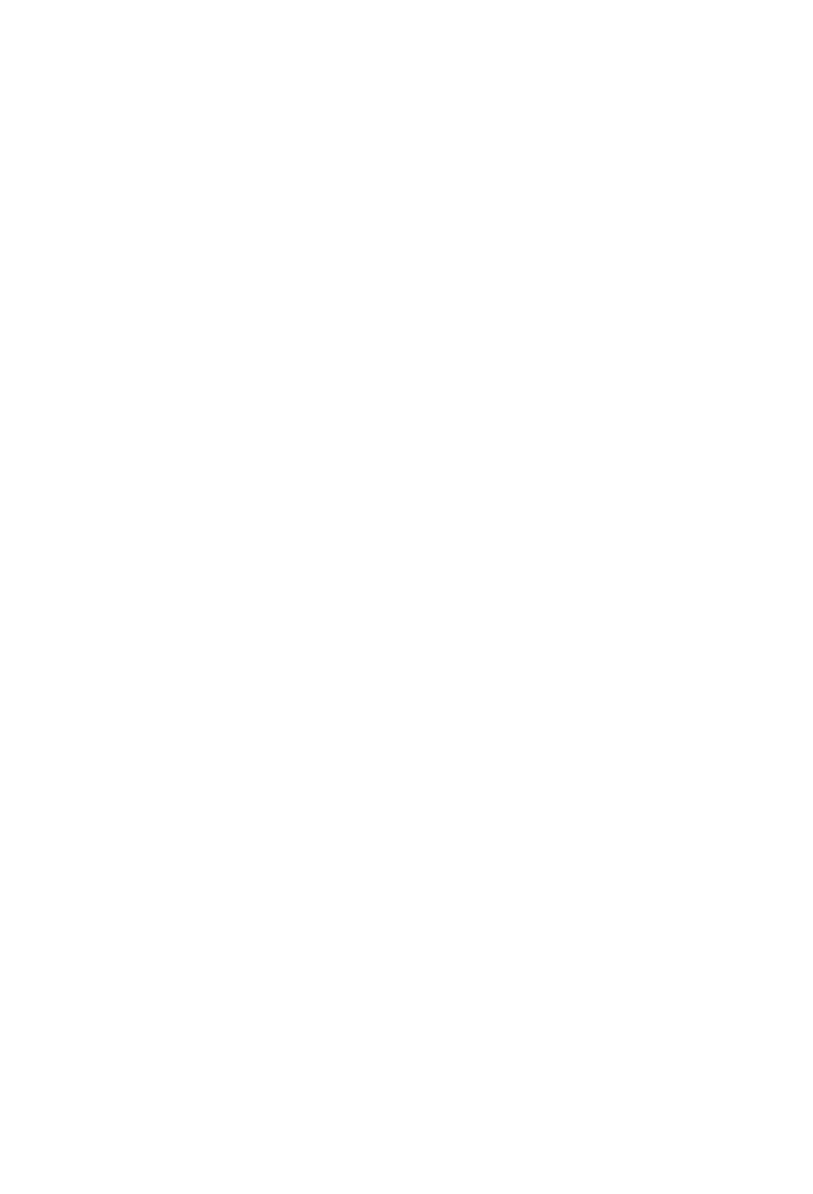Calc'd. for  $C_4H_{10}NO_5P$ : C, 26.24; H, 5.50. Found: C. 26.15: H, 5.43.

The following esters were prepared according to the above procedure (all melt with decomposition at the temperature indicated):  $\overline{5}$ 

| dodecyl N-phosphonomethylglycinate     | 197-200° C.    |   |
|----------------------------------------|----------------|---|
| chloroethyl N-phosphonomethylglycinate | 207° C.        |   |
| ethyl N-phosphonomethylglycinate       | $203^\circ$ C. |   |
| cyclohexyl N-phosphonomethylglycinate  | $195^\circ$ C. | Þ |
| decyl N-phosphonomethylglycinate       | 201-204° C.    |   |
| hexyl N-phosphonomethiglycinate        | $202^\circ$ C. |   |
| octyl N-phosphonomethylglycinate       | $200^\circ$ C. |   |
| N-butyl N-phosphonomethylglycinate     | 207-209° C.    |   |
| propyl N-phosphonomethylglycinate      | 208.5° C.      |   |

#### **EXAMPLE 6**

A mixture of 10 g. (0.055 mole) of methyl N-phosphonomethylglycinate and excess concentrated aqueous ammonium hydroxide was heated at the reflux temperature for two hours. The solution was then concentrated at reduced pressure, the residue washed with ether and methanol, and the granular product stirred with a mixture of excess glacial acetic acid in methanol.  $_{25}$ The precipitated solid was collected, washed with methanol and recystallized from dilute ethanol. The yield of N-phosphonomethylglycinamide, m.p. 227° C. with decomposition, was  $8 \text{ g}$  or  $87\%$  of the theoretical amount

Calc'd. for C<sub>3</sub>H<sub>9</sub>N<sub>2</sub>O<sub>4</sub>P: C, 21.44; H, 5.40. Found: C, 21.26; H, 5.39.

#### **EXAMPLE 7**

A solution of 16.9 g. (0.10 mole) of N-phosphonome-  $35$ thylglycine in 300 mls. of hot water was heated at the reflux temperature with 5.6 g. (0.10 mole) calcium oxide. After about ten minutes, the mixture was cooled and filtered. The residue was washed with methanol and ether. After air-drying, the yield of calcium salt of 40 Monosodium salt of ethyl N-phosphonomethylglyci-N-phosphonomethylglycine hydrate was 17.5 g. or 84% of the theoretical vield.

#### **EXAMPLE 8**

A mixture of 17 g.  $(0.10 \text{ mole})$  of N-phosphonome- 45 thylglycine and 2 g. (0.05 mole) of magnesium oxide in 300 mls. of water was heated at the reflux temperature for ten minutes. The solution was cooled to room temperature and filtered to remove a small amount of sediment. The clear filtrate was then concentrated at re- 50 Monosodium salt of chloroethyl-N-phosphonomethylduced pressure and the granular residue washed with methanol and ether. Magnesium bis-N-phosphonomethylglycinate hydrate was obtained in excellent vield.

#### **EXAMPLE 9**

A mixture of 20 g. (0.11 mole) of methyl N-phosphonomethylglycinate and about 23 g. (0.33 mole) of pyrrolidine was heated on a steam bath for two hours. Excess amine was then removed at reduced pressure and the residue washed with ether and tetrahydrofuran. 60 Monopotassium salt of hexyl-N-phosphonomethyl-The gummy product was stirred with a mixture of excess glacial acetic acid in methanol and the crystalline precipitate collected by filtration. After washing with methanol and ether, the tetramethylene N-phosphonomethylglycinamide, m.p. 243° C, with decompo-65 sition, was obtained in a yield of 12 g. or 49% of the theoretical amount. The product was recrystallized from dilute ethanol for analysis.

Calc'd. for C7H15N2O4P: C, 37.84; H, 6.81. Found: C, 37.82; H, 6.96.

#### EXAMPLE 10

N-phosphonomethylglycine (10 g.) was placed in a small beaker and covered with concentrated hydrochloric acid (approximately 5 ml.). After exothermic reaction had subsided, the mixture was allowed to stand about 10 to 15 minutes. The crystalled solid was washed 0 with tetrahydrofuran and then air-dried to yield an essentially quantitative yield of N-phosphonomethylglycine hemihydrochloride hemihydrate (m.p. greater than  $300^\circ$  C.).

Other compounds of the present invention that can be 15 made in general accordance with the foregoing procedure include:

N-chlorophosphonylmethylglycine

N-dichlorophosphonylmethylglycine

N-phosphonomethylglycinyl chloride

- N-phosphonomethylglycinyl bromide
- N-phosphonomethylglycinyl iodide
- N-phosphonomethylglycinyl fluoride
- N-dichlorophosphonylmethylglycinyl chloride
- N-dibromophosphonylmethylglycine
- N-diiodophosphonylmethylglycine
- Monopyridine salt of N-phosphonomethylglycine Monobutylamine salt of N-phosphonomethylglycine Mono-(trimethylamine) salt of N-phosphonomethylglycine
- 30 Monopyrrolidone salt of N-phosphonomethylglycine Mono(diethylenetriamine) salt of N-phosphonomethylglycine
	- Monoisopropylamine salt of N-phosphonomethylglycine.
	- Mono-n-propylamine salt of N-phosphonomethylglycine
	- Monomorpholine salt of N-phosphonomethylglycine Mono(diproparylamine) salt of N-phosphonomethylglycine
	- nate

Potassium salt of ethyl N-phosphonomethylglycinate Mono(dialkylamine) salt of N-phosphonomethylglycine Monolithium salt of ethyl-N-phosphonomethylglycinate

- Monosodium salt of propyl-N-phosphonomethylglycinate
- Monosodium salt of methyl-N-phosphonomethylglycinate
- glycinate
- Monosodium salt of hexyl-N-phosphonomethylglycinate
- Monopotassium salt of methyl-N-phosphonomethylglycinate
- Monopotassium salt of propyl-N-phosphonomethylglycinate
- Monopotassium salt of butyl-N-phosphonomethylglycinate
- glycinate
- Monopotassium salt of chloroethyl-N-phosphonomethylglycinate
- Mono(picoline) salt of N-phosphonomethylglycine
- Monocyclohexylamine salt of N-phosphonomethylglycine
- Di(methylamine) salt of N-phosphonomethylglycine Di(dimethylamine) salt of N-phosphonomethylglycine

55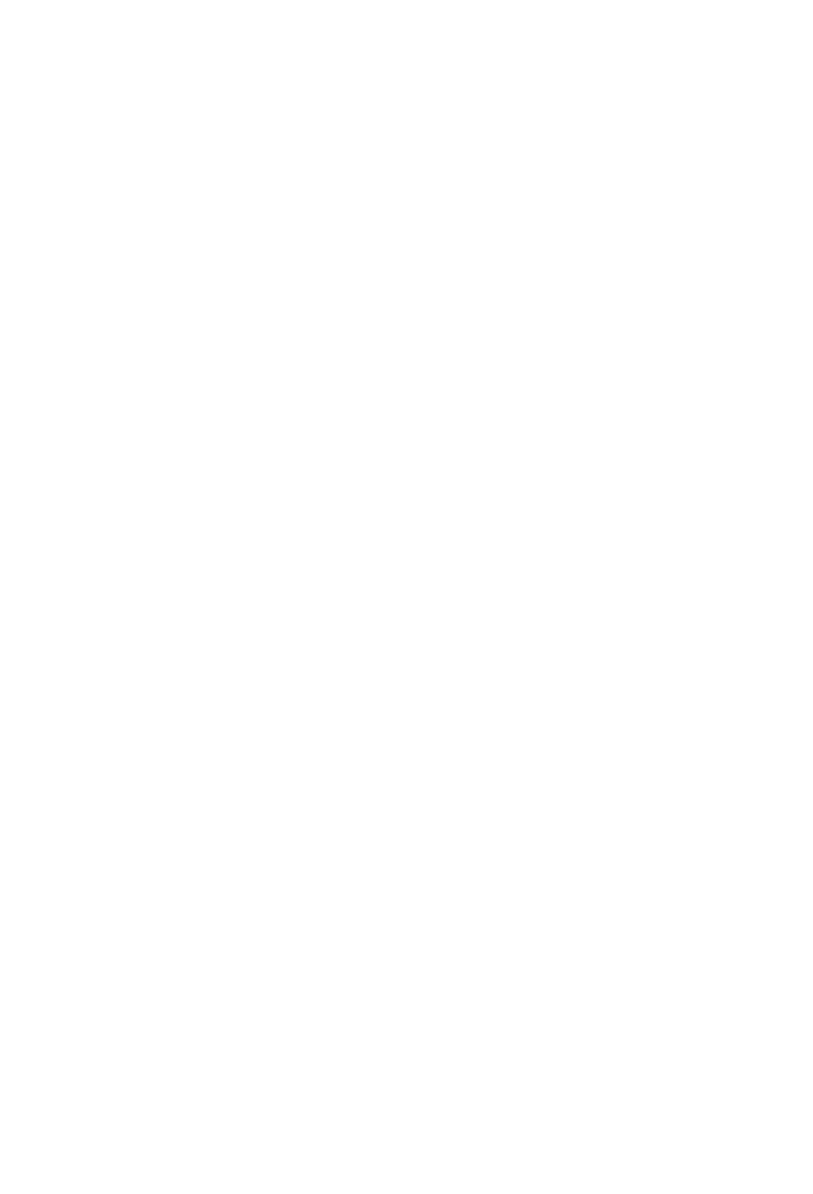$.10$ 

 $\overline{\mathbf{3}}$ 

35

40

45

Di(ethylamine) salt of N-phosphonomethylglycine Di(n-propylamine) salt of N-phosphonomethylglycine Di(iso-propylamine) salt of N-phosphonomethylglycine Di(morpholine) salt of N-phosphonomethylglycine Mono(oleylamine) salt of N-phosphonomethylglycine Mono(steaylamine) salt of N-phosphonomethylglycine Mono(tallowamine) salt of N-phosphonomethylglycine Mono(methylbutylamine) salt of N-phosphonomethylglvcine

- N-difluorophosphonylmethylglycine
- N-phosphonomethylglycine hemihydrobromide hemi-

hydrate

- N-phosphonomethyl thiolglycine
- N-thiolphosphonomethylglycine
- 

N-diethiolphosphonomethylglycine chloropropyl-N-phosphonomethylglycine N-trithiolphosphonomethylglycine phenyl-N-phosphonomethylglycinate naphthyl-N-phosphonomethylglycinate methoxyethyl-N-phosphonomethylglyciante

dimethyl-N-(phosphonomethyl)glycinate methyl-N-phosphonomethyl thiolglycine decyl-N-phosphonomethyl thioglycine octadecyl-N-phosphonomethyl thiolglycine N,N-dimethyl(N-phosphonomethyl)glycinamide N,N-dibutyl(N-phosphonomethyl)glycinamide monosodium salt

N-(phosphonomethyl)glycine monoethylamine salt dichloroethyl-N-(phosphonomethyl)glycinate trichlorobutyl-N-(phosphohomethyl)glycinate dibromohexyl-N-(phosphonomethyl)glycinate trifluoromethylphenyl-N-(phosphonomethyl)glycinate dichlorophenyl-N-(phosphonomethyl)glycinate dibutylamine salt of N-(phosphonomethyl)glycine octadecylamine salt of N-(phosphonomethyl)glycine methoxyethylamine salt of N-(phosphonomethyl)glycine

ethylenediamine salt of N-(phosphonomethyl)glycine pyrrolidine salt of N-(phosphonomethyl)glycine dipropanolamine salt of N-(phosphonomethyl)glycine chloroethylamine salt of N-(phosphonomethyl)glycine phenoxyethylamine salt of N-(phosphonomethyl)glycine

N,N-diethylaminoethyl-N-(phosphonomethyl)glycinate

#### **EXAMPLE 11**

In order to demonstrate the phytotoxic activity of the compounds of this invention against aquatic species, 10

alligator weed (Alternanthera philoperorides) was sprayed with an aqueous solution of N-phosphonomethylglycine at the rate of 0.125 pound per acre. The plants were maintained under greenhouse conditions for four weeks and the response of the plants was then noted. At the end of the four week period, all of the plants were dead. Control plants were normal after 4 weeks.

#### **EXAMPLE 12**

The post-emergence herbicidal activity of various compounds of this invention is demonstrated as follows. The active ingredients are applied in spray form to 14 or 21 day old specimens (as indicated) of various plant species. The spray, a water or organic solvent-water  $15$ solution containing active ingredient and a surfactant (35 parts butylamine salt of dodecylbenzenesulfonic acid and 65 parts tall oil condensed with ethylene oxide in the ratio of 11 moles ethylene oxide to 1 mole tall oil), is applied to the plants in different sets of pans at several 20 rates (pounds per acre) of active ingredient. The treated plants are placed in a greenhouse and the effects are observed and recorded after approximately 2 weeks or approximately 4 weeks, as is indicated in the last column 25 of Table I.

The post-emergence herbicidal activity index used in Table I is as follows:

| <b>PLANT</b><br><b>RESPONSE</b> | <b>INDEX</b> | <b>PLANT RESPONSE</b> | <b>INDEX</b> |
|---------------------------------|--------------|-----------------------|--------------|
| No injury                       |              | Severe injury         |              |
| Slight injury                   |              | Killed                |              |
| Moderate injury                 |              |                       |              |

The plant species utilized in these tests are identified by letter in accordance with the following legend:

| 2012/07/07<br>A-Soybean | K-Smartweed       |  |
|-------------------------|-------------------|--|
| <b>B-Sugar Beet</b>     | L-Velvetleaf      |  |
| $C-Wheat$               | M-Downy Brome     |  |
| D—Rice                  | N-Panicum Spp     |  |
| E—Sorghum               | O-Barnyardgrass   |  |
| F-Cocklebur             | P-Crabgrass       |  |
| G-Wild Buckwheat.       | Q-Nutsedge*       |  |
| H-Morningglory          | R-Ouackgrass*     |  |
| I-Hemp Sesbania         | S-Johnsongrass*   |  |
| J-Lambsquarters         | T-Canada thistle* |  |

\*Established from vegetive propagules

| SAL ROME.                                                                                                        | $1 - 223$                                                                                                            |                                                              |           |  |     |   |   | <b>TABLE I</b> |  |   |   |   |   |   |   |   |              |
|------------------------------------------------------------------------------------------------------------------|----------------------------------------------------------------------------------------------------------------------|--------------------------------------------------------------|-----------|--|-----|---|---|----------------|--|---|---|---|---|---|---|---|--------------|
|                                                                                                                  | COMPOUND RATE A B C D                                                                                                |                                                              |           |  | E F | G | н |                |  | М | N | O | о | R | s | т | <b>WEEKS</b> |
| it yn it<br>ಾರಿ ನಿರ್ಧಾ<br>interest pro-<br>t vý.<br>75. PT<br>てられた<br>一番につき<br>국국가학<br>ಾಂತ್ರಗಳು ಪ<br>in District | H÷<br>357<br>ш<br>ш<br>IV<br>IV.<br>$\mathbf{V}_{\text{inert}}$<br>VI                                                | $\mathcal{P}_{\mathcal{M}}^{(1)}$<br>$\alpha = 1, 0, \ldots$ | - 0<br>43 |  |     |   |   |                |  |   |   |   |   |   |   |   |              |
| $\mathcal{G}^{\mathcal{F}}=\mathcal{F}^{\mathcal{F}}$<br>$\sim -55$                                              | VII<br>. VIII<br>IX<br>proposed<br>x<br>XI<br>$\mathbf{X}$ H, $\mathbb{R}^2$<br>XIII<br><b>XIV</b> $4^*$ 0 $3^2$ 2 2 | $\frac{1}{2}$ and $\frac{4}{2}$ .                            | ंदा       |  |     | 0 |   | $1.144 - 5.5$  |  |   |   |   |   |   |   |   |              |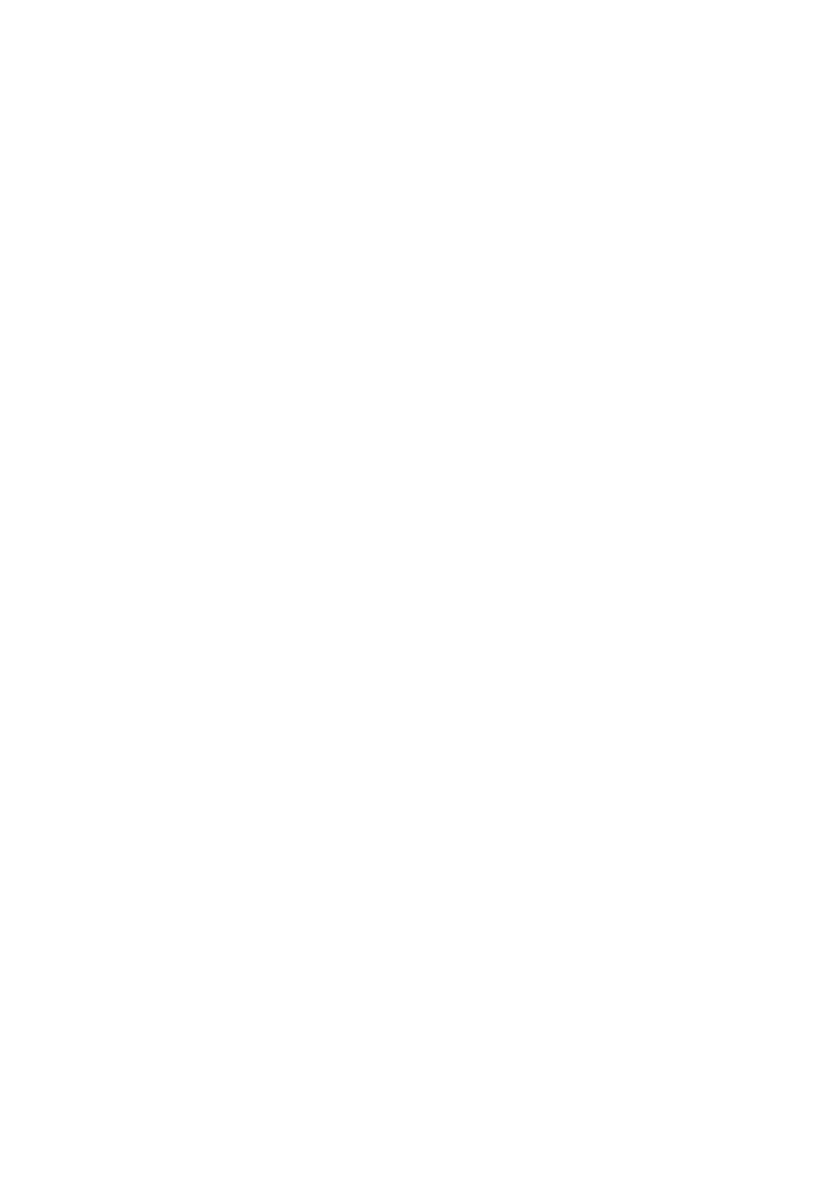### 4,405,531

TI

Industrial Co.  $T_{\rm A}$  pr  $\overline{r}$ 

|               |           |              |              |   |   |   |   |             |   |    | I ABLE I-continued |   |   |   |         |                    |    |             |       |                           |              |  |       |
|---------------|-----------|--------------|--------------|---|---|---|---|-------------|---|----|--------------------|---|---|---|---------|--------------------|----|-------------|-------|---------------------------|--------------|--|-------|
| COMPOUND      | RATE A    | $\mathbf{B}$ | $\mathbf{C}$ | D | Е | F | G | $H \cdot I$ |   |    | K                  | L | M | N | $\circ$ | $\mathbf{P}$       | Q  | $R_{\odot}$ |       | $\mathbf{S} = \mathbf{T}$ | <b>WEEKS</b> |  | 49.17 |
| XV.           | $-10^*$ : |              |              |   |   |   |   |             |   |    |                    |   |   |   |         |                    |    |             |       |                           |              |  |       |
| XVI           | $4*$      |              |              |   |   |   |   |             | ÷ | з. | $\cdot$ 2          |   |   |   |         |                    |    |             | $2 -$ | - 2                       |              |  |       |
| <b>XVII</b>   | 4         |              |              |   |   |   |   |             |   |    |                    |   |   |   |         |                    |    |             |       |                           |              |  |       |
| <b>XVIII</b>  |           |              |              |   |   |   |   |             |   |    |                    |   |   |   |         |                    |    |             |       |                           |              |  |       |
| <b>XIX</b>    |           |              |              |   |   |   |   |             |   |    |                    |   |   |   |         |                    |    |             |       |                           |              |  |       |
| XX            |           |              |              |   |   |   |   |             |   |    |                    |   |   |   |         |                    |    |             |       |                           |              |  |       |
| XXI           |           |              |              |   |   |   |   |             |   |    |                    |   |   |   |         |                    |    |             |       |                           |              |  |       |
| XXII          |           |              |              |   |   |   |   |             |   |    |                    |   |   |   |         |                    |    |             |       |                           |              |  |       |
| <b>XXIII</b>  |           |              |              |   |   |   |   |             |   |    |                    |   |   |   |         |                    |    |             |       |                           |              |  |       |
| <b>XXIV</b>   |           |              |              |   |   |   |   |             |   |    |                    |   |   |   |         | $4\cdot\cdot\cdot$ | -3 | $-4$        |       |                           |              |  |       |
| <b>XXV</b>    |           |              |              |   |   |   |   |             |   |    |                    |   |   |   |         |                    |    |             |       |                           |              |  |       |
| <b>XXVI</b>   |           |              |              |   |   |   |   |             |   |    |                    |   |   |   |         |                    |    |             |       |                           | **           |  |       |
| <b>XXVII</b>  |           |              |              |   |   |   |   |             |   |    |                    |   |   |   |         |                    |    |             |       |                           | $***$        |  |       |
| <b>XXVIII</b> |           |              |              |   |   |   |   |             |   |    |                    |   |   |   |         |                    |    |             |       |                           | $***$        |  |       |
| <b>XXIX</b>   |           |              |              |   |   |   |   |             |   |    |                    |   |   |   |         |                    |    |             | 4     |                           |              |  |       |
| <b>XXX</b>    |           |              |              |   |   |   |   |             |   |    |                    |   |   |   |         |                    |    |             |       |                           |              |  |       |
| <b>XXXI</b>   |           |              |              |   |   |   |   |             |   |    |                    |   |   |   |         |                    |    |             |       |                           |              |  |       |
| XXXII         |           |              |              |   |   |   |   |             |   |    |                    |   |   |   |         |                    |    |             |       |                           |              |  |       |

\*Applied to 3-week old plants. All other tests conducted on 2 week old plants. \*These readings made after 11 days.

The following are the compounds referred to by the Roman numerals in the table:

| <b>ROMAN</b>   |                                             |    |
|----------------|---------------------------------------------|----|
| <b>NUMERAL</b> | <b>COMPOUND NAME</b>                        | 25 |
| I              | N-phosphonomethylglycine                    |    |
| $_{II}$        | Sodium N-phosphonomethylglycinate           |    |
| Ш              |                                             |    |
|                | Disodium N-phosphonomethylglycinate         |    |
| IV             | Trisodium N—phosphonomethylglycinate        |    |
| v              | N-Phosphonomethylglycine, mono-ethanolamine | 30 |
|                | salt                                        |    |
| VI             | N-Phosphonomethylglycine, mono-ammonium     |    |
|                | salt                                        |    |
| VII            | Monohydrate calcium salt of                 |    |
|                | N—phosphonomethylglycine                    |    |
| VIII           | Magnesium salt of N-phosphonomethylglycine  |    |
| IX             | Magnesium bis-(N—phosphonomethylglycinate)  | 35 |
| X              | Potassium salt of N-phosphonomethylglycine  |    |
| XI             | Dimethylamine salt of                       |    |
|                | N-phosphonomethylglycine                    |    |
| XII            | Copper bis-(N-phosphonomethylglycinate)     |    |
| XIII           | Dilithium salt of N-phosphonomethylglycine  |    |
| XIV -          | Zinc salt of N-(phosphonomethyl)glycine     | 40 |
| XV             | N-Phosphonomethylglycinamide                |    |
| XVI            | Methyl-N-(phosphonomethyl)glycinate         |    |
| XVII           | Ethyl-N-(phosphonomethyl)glycinate          |    |
| XVIII          | n-propyl-N-(phosphonomethyl)glycinate       |    |
| XIX            | n-butyl-N-(phosphonomethyl)glycinate        |    |
| xх             | n-hexyl-N-(phosphonomethyl)glycinate        | 45 |
| XXI            | Cyclohexyl-N-(phosphonomethyl)glycinate     |    |
| <b>XXII</b>    | Octyl-N-(phosphonomethyl)glycinate          |    |
| <b>XXIII</b>   | Decyl-N-(phosphonomethyl)glycinate          |    |
| <b>XXIV</b>    | Dodecyl-N-(phosphonomethyl)glycinate        |    |
| xxv            | Chloroethyl-N--(phosphonomethyl)glycinate   |    |
| <b>XXVI</b>    | Mono(methylamine) salt of                   |    |
|                | N-phosphonomethylglycine                    | 50 |
| XXVII.         | Mono(diisopropylamine) salt of              |    |
|                | N-phosphonomethylglycine                    |    |
| <b>XXVIII</b>  | Mono(diethanolamine) salt of                |    |
|                | N-phosphonomethylglycine                    |    |
| <b>XXIX</b>    | Mono(triethylamine) salt of                 |    |
|                |                                             | 55 |
| xxx            | N—phosphonomethylglycine                    |    |
|                | Mono(pyridine) salt of                      |    |
|                | N-phosphonomethylglycine                    |    |
| XXXI           | Mono(aniline) salt of                       |    |
|                | N-phosphonomethylglycine                    |    |
| <b>XXXII</b>   | Bis(N-phosphonomethylglycine) hydrochloride |    |
|                | hydrate                                     | 60 |

The compositions of this invention are extremely useful in minimum tillage methods of crop culture. Thus, for example, in those instances where it is desir-65 able to plant a sodded or otherwise vegetated acreage with corn or the like without plowing or otherwise mechanically preparing a seed bed, the crop seed can be drill planted in combination with a prior or subsequent

application of a composition of this invention to kill undesired growing vegetation provided that the composition is applied before the emergence of the crop plant.

 $\label{eq:2.1} \frac{1}{2}\left[\frac{1}{2}\left(1+\epsilon_1\right)\right] \left[\epsilon_1-\epsilon_2\right] \left[\epsilon_1-\epsilon_1\right] \left[\epsilon_1\right] \,.$ 

Congress for

 $\sim 6.4\,$  km  $^{-1}$ 

 $\beta \in \mathcal{A}$ 

12

The compositions of this invention are also useful in sod (turf, alfalfa, pasture, etc.) renovation or conservation procedures. Thus, for example, in situations where a sod or parts thereof has become overgrown with undesirable plant species, the plants in said area can be sprayed with a phytotoxic composition of this invention to control all growing plants and from about 2 to 24 hours later depending upon weather conditions etc., the desired species can be seeded into the dying vegetation. Where a seed bed is to be prepared about 2 to 3 weeks should elapse between treatment and seed bed preparation, in order to provide sufficient time for the composition to be assimilated by all parts of the undesired plants. In an alternate method of sod renovation, the area can be seeded and immediately sprayed with a composition

of this invention. In either method, the seeds fall among the vegetation and as the sprayed plants wither and die, they act as a mulch and moisture retaining layer in which the seeds can germinate. This method is particularly useful in the spot renovation of lawns or golf

greens or fairways since the herbicidal effect of the compositions of this invention is greatly decreased or totally inactivated by contact with soil. Thus, seeds which are in the soil can germinate and grow without any apparent effects from the spraying of the unwanted plants prior to the time that the seed actually germinates.

The compositions of this invention provide a wide spectrum of weed control and are also extremely useful as general herbicides as well as in controlling unwanted plants in orchards, tree farms and various crops. For example, it has been found that by directing a spray of the compositions of this invention at the unwanted plants while essentially preventing such spray from contacting the leaves of trees, that such unwanted plants are controlled while there is no apparent injury to the trees. In such directed spraying, the spray can fall on the woody portion of the fruit tree or other tree without any apparent effect. Thus, the directed spray method of control is useful with crops such as plantation crops, i.e. rubber, coffee, bananas, tea, etc. and in orchards such as citrus fruits, apples, peaches, pears, nuts, olive, in vineyards and in bramble crops and in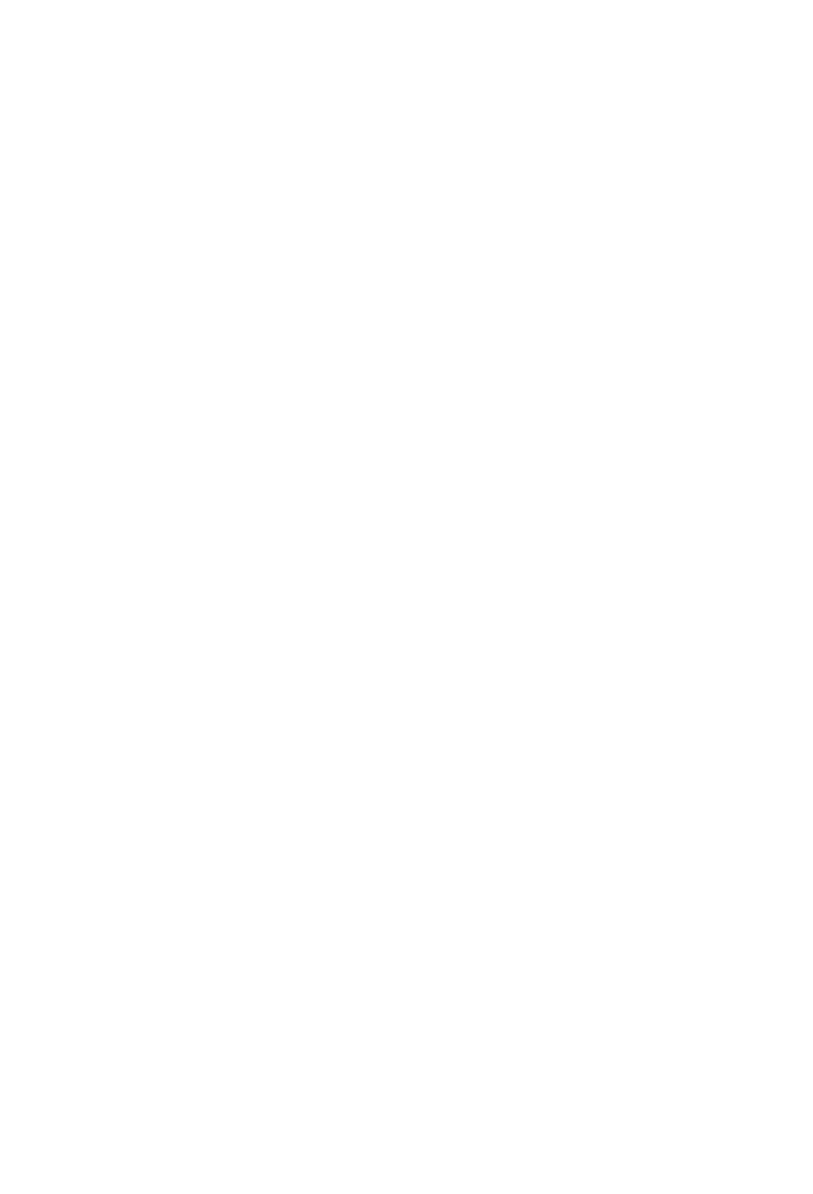nursery crops to control the undesired plants and in crops such as cotton, soybeans, sugarcane and the like.

The compositions of this invention are also useful for control of weeds between cropping seasons, for the renovation of stale seed beds and the like.

In applying the compositions of this invention to the plants which it is desired to control, it has been found to be desirable that the plant be emerged from the ground and even more desirable, that the plant be at least at the 2 leaf stage for maximum effect. It has been found that 10 when the plants to be controlled have a portion of their growth above the ground or water, and the aboveground or above-water portion of the plant contacted with the herbicidal compositions of this invention at appropriate rates the herbicide is translocated to kill 15 such plant parts which are below the ground on water surface.

One can obtain limited selectivity in crops such as cotton, soybeans, sugar cane and the like crops by directing the spraying of a composition of this invention 20 at a selected concentration on vegetation around the base of such plants with minimal spray contact with the leafy portions of such crop plants. The directed spraying can be done with or without a protective device to prevent contact of the spray with the leaves of such 25 crop plants.

A non-exhaustive list of some of the plant species which are controlled by the compositions of this invention, in addition to those shown in Table I, are set forth 30 below:

| Medicago sativa           | Poa annua               |
|---------------------------|-------------------------|
| Lolium multiflorum        | Hordeum vulgare         |
| Hordeum murinum           | Galium aparine          |
| Alopecurus myosuroides    | Bracharia platyphyalla  |
| <b>Agrostis tenuis</b>    | Plantago lanceolata     |
| Phaseolus vulgaris var.   | Mollugo verticillata    |
| humilies                  |                         |
| Daucus carota var. sativa | Portulaca oleracea      |
| Stellaria media           | Zea mays                |
| Agrostemma githago        | Spergula arvensis       |
| Gossypium hirsutum        | Saponaria vaccaria      |
| Agropyron cristatum       | Cucumis sativus         |
| Rumex crispus             | Eriochlog gracilis      |
| Paspalum dilatatum        | Camelina microcarba     |
| Amsinckia intermedia      | Linum usitatissimum     |
| Setaria faberii           | Ambrosia trifida        |
| Setaria viridis           | Lithospermum officinale |
| Secale cereale            | Sisymbrium officinale   |
| Lamium amplexicaule       | Brassica juncea         |
| Datura stramonium         | Avena sativa            |
| Arachis hypogaea          | Pisum sativum           |
| Solanum tuberosum         | Sida spinosa            |
| Cyperus rotundus          | Polypogon monspeliensis |
| Raphanus sativus          | Ambrosia artemisiifolia |
| Rottboellia exaltata      | <b>Brassica</b> napus   |
| Beta vulgaris             | Orvza sativa            |
| Amaranthus retroflexus    | Poa trivialis           |
| Cenchrus pauciflorus      | Rumex acctosella        |
| Cassia obtusifolia        | Andropogón saccharoides |
| Zea mays var. saccharata  | Fagopyrum tataricum     |
| Lycopersicon esculentum   | Citrullus vulgaris      |
| Sorghum bicolor           | Brassia kaber var.      |
|                           | pinnatifida             |
| Avena fatua.              | Erigeron candensis      |
| Plantago lanceolata       | Trifolium pratense      |
| Dactylis glomerata        | Daucus carota           |
| Solanum carolinense       | Solanum elaegnifolium   |
| Franseria tomentosa       | Poa pratensis           |
| Festuca arundinaceae      | Festuca rubra           |
| Agrostis spp              | Cynodon dactylon        |
| Panicum dichlotomiflorum  | Commelina diffusa or    |
|                           | communis                |
| Pennisetum clandestinum   | Paspalum spp            |
| filmain nandata:          | $\Omega$ unahlan unda   |

Axonopus compressus

Imperata cylindrica

|                                    | -commed              |  |
|------------------------------------|----------------------|--|
| Scleria bancara<br>Eleucine indica | Commellina nudiflora |  |
|                                    |                      |  |

The phytotoxicant compositions, including concentrates which require dilution prior to application to the plants, of this invention contain at least one active ingredient and an adjuvant in liquid or solid form. The compositions are prepared by admixing the active ingredient with an adjuvant including diluents, extenders, carriers and conditioning agents to provide compositions in the form of finely-divided particulate solids, pellets, solutions, dispersions or emulsions. Thus the active ingredient can be used with an adjuvant such as a finelydivided solid, a liquid of organic origin, water, a wetting agent, a dispersing agent, an emulsifying agent or any suitable combination of these. From the viewpoint of economy and convenience, water is the preferred diluent, particularly with the highly water-soluble glycine salts such as the alkali metal salts and amine and ammonium salts. With these derivatives, solutions containing as high as five pounds or more of active materials per gallon can be readily prepared.

The phytotoxicant compositions of this invention, particularly liquids and soluble powders, preferably contain as a conditioning agent one or more surface-active agents in amounts sufficient to render a given composition readily dispersible in water or in oil. The incorporation of a surface-active agent into the compositions greatly enhances their efficacy. By the term "surfaceactive agent", it is understood that wetting agents, dispersing agents, suspending agents and emulsifying agents are included therein. Anionic, cationic and nonionic agents can be used with equal facility.

Preferred wetting agents are alkyl benzene and alkyl naphthalene sulfonates, sulfated fatty alcohols, amines or acid amides, long chain acid esters of sodium isothionate, esters of sodium sulfo ussinate, sulfated or sulfo-40 nated fatty acid esters, petroleum sulfonates, sulfonated vegetable oils, ditertiary acetylenic glycols, polyoxyethylene derivatives of alkylphenols (particularly isooctylphenol and nonylphenol) and polyoxyethylene derivatives of the mono-higher fatty acid esters of hexitol 45 anhydrides (e.g. sorbitan). Preferred dispersants are methyl cellulose, polyvinyl alcohol, sodium lignin sulfonates, polymeric alkyl naphthalene sulfonates, sodium naphthalene sulfonate, polymethylene bisnaphthalenesulfonate and sodium N-methyl-N-(long chain acid) 50 laurates.

Water-dispersible powder compositions can be made containing one or more active ingredients, an inert solid extender and one or more wetting and dispersing agents. The inert solid extenders are usually of mineral 55 origin such as the natural clays, diatomaceous earth and synthetic materials derived from silica and the like. Examples of such extenders include kaolinites, attapulgite clay and synthetic magnesium silicate. The waterdispersible powder of this invention usually contain 60 from about  $\bar{5}$  to about 95 parts by weight of active ingredient. from about 0.25 to 25 parts by weight of wetting agent, from about 0.25 to 25 parts by weight of dispersant and from 4.5 to about 94.5 parts by weight of inert solid extender, all parts being by weight of the total 65 compositions. Where required, from about 0.1 to 2.0 parts by weight of the solid inert extender can be replaced by a corrosion inhibitor or anti-foaming agent or hoth.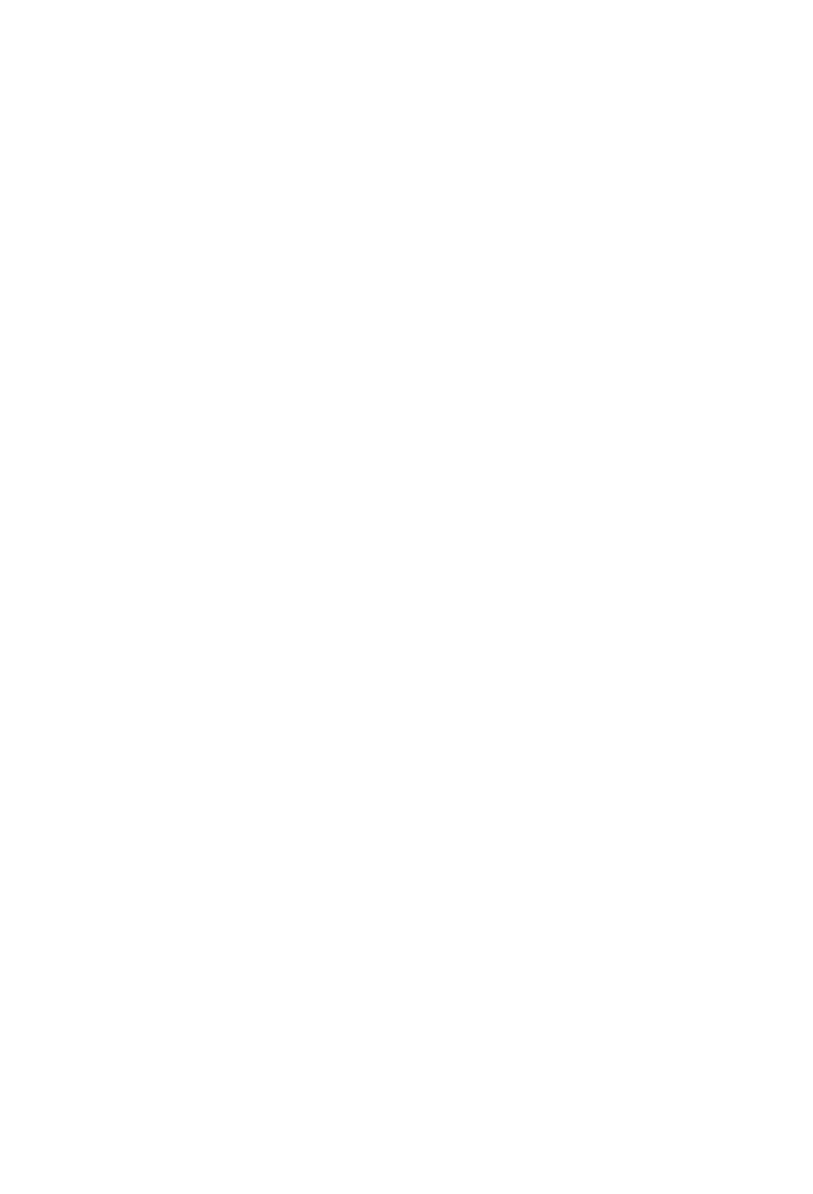Aqueous suspensions can be prepared by mixing together and grinding an aqueous slurry of water-insoluble active ingredient in the presence of dispersing agents to obtain a concentrated slurry of very finely-divided particles. The resulting concentrated aqueous suspen- 5 sion is characterized by its extremely small particle size, so that when diluted and sprayed, coverage is very uniform.

Emulsifiable oils are usually solutions of active ingredient in water-immiscible or partially water-immiscible 10 solvent together with surface active agent. Suitable solvents for the active ingredient of this invention include hydrocarbons and water-immiscible ethers, esters or ketones. The emulsifiable oil compositions generally contain from about 5 to 95 parts active ingredient, about 15 1 to 50 parts surface active agent and about 4 to 94 parts solvent, all parts being by weight based on the total weight of emulsfiable oil.

Although compositions of this invention can also contain other additaments, for example fertilizers, 20 phytotoxicants and plant growth regulants, pesticides and the like used as adjuvants or in combination with any of the above-described adjuvants, it is preferred to employ the compositions of this invention alone with sequential treatments with the other phytotoxicants, 25 fertilizers and the like for maximum effect. For example, the field could be sprayed with a composition of this invention either before or after being treated with fertilizers, other phytotoxicants and the like. The compositions of this invention can also be admixed with the 30 other materials, e.g. fertilizers, other phytotoxicants, etc., and applied in a single application. Chemicals useful in combination with the active ingredients of this invention either simultaneously or sequentially include for example triazines, ureas, carbamates, acetamides, 35 acetanilides, uracils, acetic acids, pheno-triolcarbamates, triazoles, benzoic acids, nitriles and the like such as:

3-amino-2,5-dichlorobenzoic acid 3-amino-1,2,4-triazole  $1 - 40$ 2-methoxy-4-ethylamino-6-isopropylamino-s-triazine 2-chloro-4-ethylamino-6-isopropylamino-s-triazine 2-chloro-N,N-diallylacetamide 2-chloroallyl diethyldithiocarbamate N'-(4-chlorophenoxy)phenyl-N,N-dimethylurea 1,1'-dimethyl-4,4'-bipyridinium dichloride isopropyl m-(3-chlorophenyl)carbamate 2,2-dichloropropionic acid S-2,3-dichloroallyl N,N-diisopropylthiolcarbamate 2-methoxy-3.6-dichlorobenzoic acid 2,6-dichlorobenzonitrile N,N-dimethyl-2,2-diphenylacetamide 6,7-dihydrodipyrido(1,2-a:2',1'-c)-pyrazidiinium salt 3-(3,4-dichlorophenyl)-1,1-dimethylurea 4,6-dinitro-o-sec-butylphenol 2-methyl-4,6-dinitrophenol ethyl, N, N-dipropylthiolcarbamate 2,3,6-trichlorophenylacetic acid 5-bromo-3-isopropyl-6-methyluracil 3-(3,4-dichlorophenyl)-1-methoxy-1-methylurea 2-methyl-4-chlorophenoxyacetic acid 3-(p-chlorophenyl)-1,1-dimethylurea 1-butyl-3-(3,4-dichlorophenyl)-1-methylurea N-1-naphthylphthalamic acid 1,1'-dimethyl-4,4'-bipyridinium salt 2-chloro-4,6-bis(isopropylamino)-s-triazine 2-chloro-4,6-bis(ethylamino)-s-triazine 2,4-dichlorophenyl-4-nitrophenyl ether

alpha, alpha, alpha-trifluoro-2,6-dinitro-N,N-dipropylp-toluidine

S-propyl dipropylthiolcarbamate

2,4-dichlorophenoxyacetic acid

N-isopropyl-2-chloroacetanilide

2',6'-diethyl-N-methoxymethyl-2-chloroacetanilide monosodium acid methanearsonate disodium methanecarsonate

 $N-(1,1-dimethylpropynyl)-3,5-dichlorobenzamide$ 

Fertilizers useful in combination with the active ingredients include for example ammonium nitrate, urea, potash, and superphosphate.

When operating in accordance with the present invention, effective amounts of the glycines are applied to above ground portions of plants. The application of liquid and particulate solid herbicidal compositions to above ground portions of plants can be carried out by conventional methods, e.g. power dusters, boom and hand sprayers and spray dusters. The compositions can also be applied from airplanes as a dust or a spray because of their effectiveness at low dosages. The application of herbicidal compositions to aquatic plants is usually carried out by spraying the compositions on the aquatic plants in the area where control of the aquatic plants is desired.

The application of an effective amount of the compounds of this invention to the plant is essential and critical for the practice of the present invention. The exact amount of active ingredient to be employed is dependent upon the response desired in the plant as well as such other factors as the plant species and stage of development thereof, and the amount of rainfall as well as the specific glycine employed. In foliar treatment for the control of vegetative growth, the active ingredients are applied in amounts from about 0.01 to about 20 or more pounds per acre. In applications for the control of aquatic plants, the active ingredients are applied in amounts of from about 0.01 parts per million to about 1000 parts per million, based on the aquatic medium. An effective amount for phytotoxic or herbicidal control is that amount necessary for overall or selective control. i.e. a phytotoxic or herbicidal amount. It is believed that one skilled in the art can readily determine from the teachings of this specification, including examples, the approximate application rate.

The compositions of this invention are also useful as harvesting aids in many crops. Thus, for example, the crop could be sprayed with the compositions of this invention to reduce the bulk of unwanted material and 50 make the harvesting of the crops easier. Such crops are for example, peanuts, soybeans, and root crops such as potatoes, sugar beets, red beets, and the like.

Although the invention is described with respect to specific modifications, the details thereof are not to be 55 construed as limitations except to the extent indicated in the following claims.

I claim: 1. A compound of the formula

60

 $45$ 

 $\begin{array}{cc}\nO & H & O & R^1 \\
\parallel & \parallel & \parallel \nearrow \\
R-C-CH_2-N-CH_2P\n\end{array}$ 

wherein R,  $R<sup>1</sup>$  and  $R<sup>2</sup>$  are independently selected from the group consisting of -OH and -OR<sup>6</sup> wherein R<sup>6</sup> is a salt-forming cation selected from the group consisting

65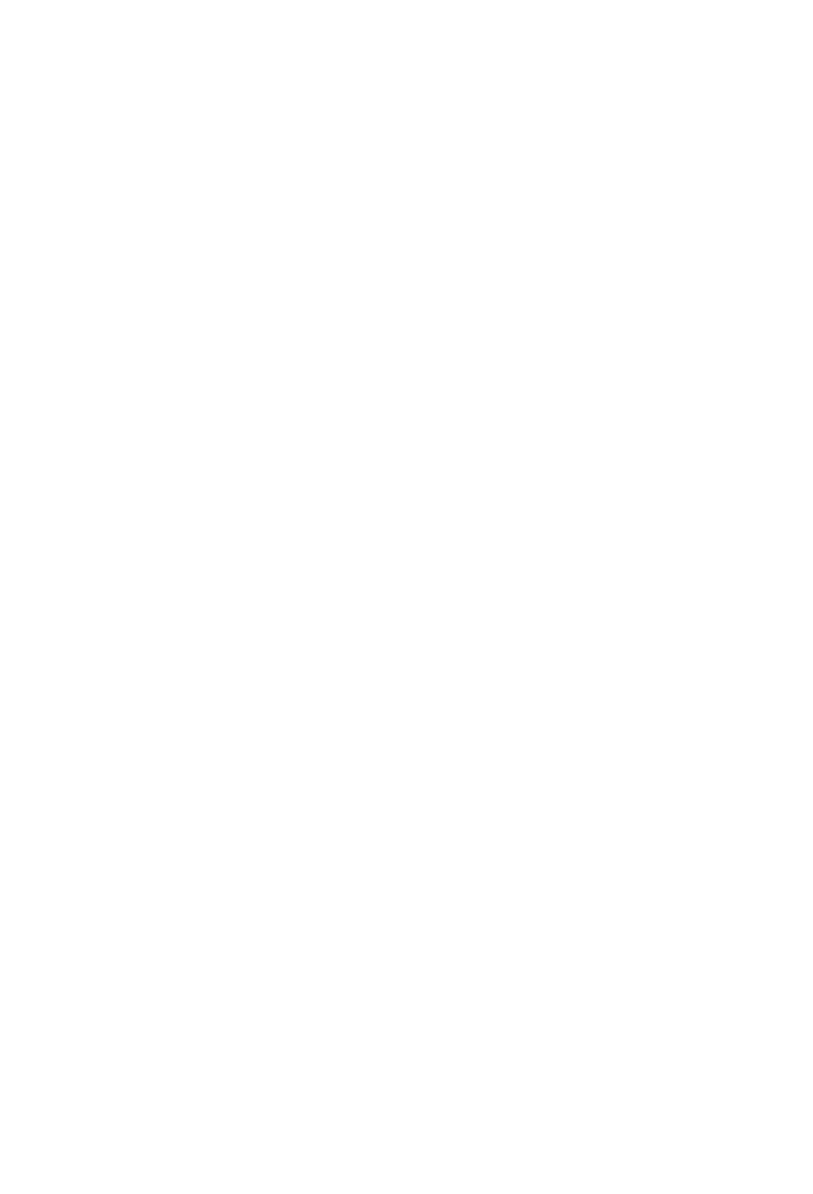of alkali metals, alkaline earth metals, copper, zinc, manganese, nickel, ammonium, and organic ammonium, and mixtures thereof provided that when the organic group is aryl the ammonium salt is a primary amine, further provided that no more than two of R,  $\mathbb{R}^1$  or  $\mathbb{R}^2$  5 are OR<sup>6</sup> when  $R^6$  is ammonium or organic ammonium and that no more than two of R,  $R^1$  and  $R^2$  are --OH.

2. A compound of claim 1 wherein one of R,  $R<sup>1</sup>$  and  $R^2$  is  $-OR^6$ .

3. A compound of claim 2 wherein  $R<sup>6</sup>$  is selected from the group consisting of alkali metals, alkaline earth metals, ammonium and organic ammonium.

4. A compound of claim 3 wherein R<sup>6</sup> is organic ammonium.

5. A compound of claim 4 wherein the organic ammonium has a molecular weight below about 300.

6. A compound of claim 4 wherein the organic ammonium contains from 1 to 18 carbon atoms.

monium is an alkylammonium.

8. A compound of claim 7 which is the mono(methylamine) salt of N-phosphonomethylglycine.

9. A compound of claim 7 which is the mono(butyla- $25$ mine) salt of N-phosphonomethylglycine.

10. A compound of claim 4 which is the mono(ethanolamine) salt of N-phosphonomethylglycine.

11. A compound of claim 7 which is the mono(dimethylamine) salt of N-phosphonomethylglycine.

12. A compound of claim 3 which is the monoammonium salt of N-phosphonomethylglycine.

13. A compound of claim 3 wherein R<sup>6</sup> is an alkali metal.

14. A compound of claim 13 which is the monoso- 35 ammonium salt of N-phosphonomethylglycine. dium salt of N-phosphonomethylglycine.

15. A compound of claim 1 wherein  $R<sup>6</sup>$  is selected from the group consisting of alkali metals, alkaline earth metals, ammonium and organic ammonium.

16. A compound of claim 1 wherein two of R,  $R<sup>1</sup>$  and  $R^2$  are  $-OR^6$ .

17. A compound of claim 16 which is the disodium salt of N-phosphonomethylglycine.

18. A compound of claim 15 wherein the salt-forming cation is an alkali metal.

19. A compound of claim 18 which is the trisodium salt of N-phosphonomethylglycine.

20. A compound of claim 18 which is the potassium 10 salt of N-phosphonomethylglycine.

21. A compound of claim 15 wherein the salt-forming cation is organic ammonium.

22. A compound of claim 21 wherein the organic ammonium is an alkylammonium.

23. A compound of claim 22 which is the isopropylamine salt of N-phosphonomethylglycine.

24. A compound of claim 23 which is the mono(isopropylamine) salt of N-phosphonomethylglycine.

25. A compound of claim 1 wherein the organic am-7. A compound of claim 4 wherein the organic am- 20 monium is selected from the group consisting of monoalkylammonium, dialkylammonium, trialkvlammonium, monoalkenylammonium, dialkenylammonium, trialkenylammonium, monoalkynylammonium, dialkynylammonium, trialkynylammonium, monoalkanolammonium, dialkanolammonium, trialkanolammonium, heterocyclic or monoarylammonium, said organic ammonium group containing from 1 to 18 carbon atoms.

26. A compound of claim 15 wherein the salt-forming cation is ammonium.

27. A compound of claim 15 which is an alkaline earth metal salt of N-phosphonomethylglycine.

28. A compound of claim 1 which is a monoarylammonium salt of N-phosphonomethylglycine.

29. A compound of claim 1 which is a heterocylic

30. A compound of claim 1 wherein said compound is more readily soluble in water than N-phosphonomethylglycine.

40

45

50

60

55

65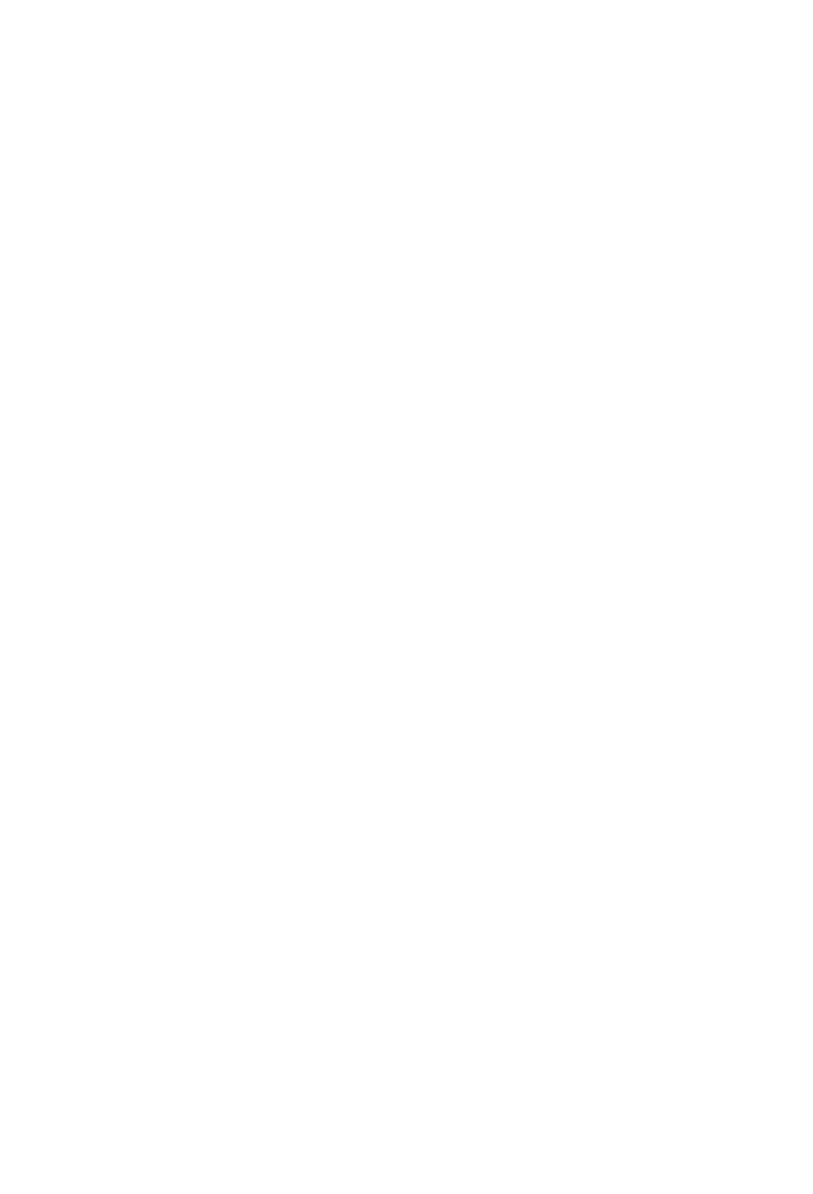## UNITED STATES PATENT AND TRADEMARK OFFICE CERTIFICATE OF CORRECTION

Page 1 of 2

4,405,531 **PATENT NO. DATED** September 20, 1983  $\ddot{\cdot}$  $INVENTOR(S)$ John E. Franz

It is certified that error appears in the above-identified patent and that said Letters Patent are hereby corrected as shown below:

Column 1, line 68, "hydrocarbononoxyhydrocarbon" should read --hydrocarbonoxyhydrocarbon--.

Column 2, line 5, "halogen" should read --halogens--.

Column 2, lines 8 & 10, " $R_4$   $R_5$ " should read  $-R^4$   $R^5$ --.

Column 4, line 64, "fo" should read --for--.

Column 7, line 14, "N-butyl N-phosphonomethylglycinate" should read --n-butyl N-phosphonomethylglycinate--.

Column 8, line 9, "crystalled" should read --crystalized--.

Column 8, line 30, "Monopyrrolidone" should read --Monopyrrolidine--.